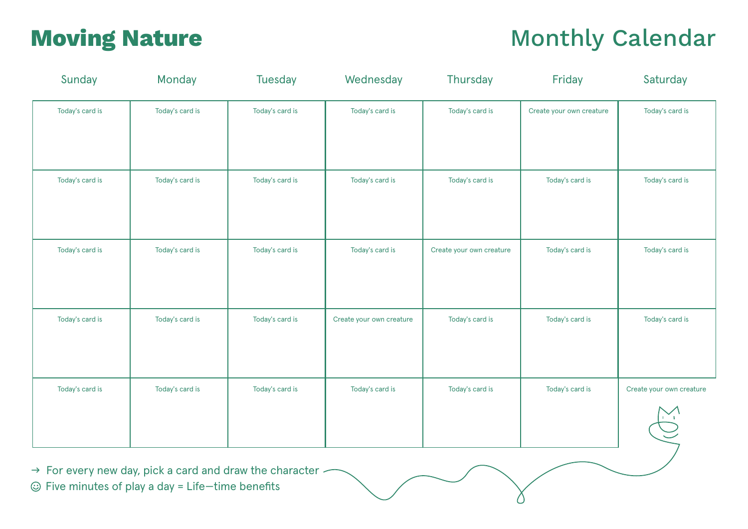# **Moving Nature Monthly Calendar Monthly Calendar**

| Sunday          | Monday          | <b>Tuesday</b>  | Wednesday                | Thursday                 | Friday                   | Saturday                                 |
|-----------------|-----------------|-----------------|--------------------------|--------------------------|--------------------------|------------------------------------------|
| Today's card is | Today's card is | Today's card is | Today's card is          | Today's card is          | Create your own creature | Today's card is                          |
| Today's card is | Today's card is | Today's card is | Today's card is          | Today's card is          | Today's card is          | Today's card is                          |
| Today's card is | Today's card is | Today's card is | Today's card is          | Create your own creature | Today's card is          | Today's card is                          |
| Today's card is | Today's card is | Today's card is | Create your own creature | Today's card is          | Today's card is          | Today's card is                          |
| Today's card is | Today's card is | Today's card is | Today's card is          | Today's card is          | Today's card is          | Create your own creature<br>$\sum_{i=1}$ |

 $\rightarrow$  For every new day, pick a card and draw the character  $\odot$  Five minutes of play a day = Life-time benefits